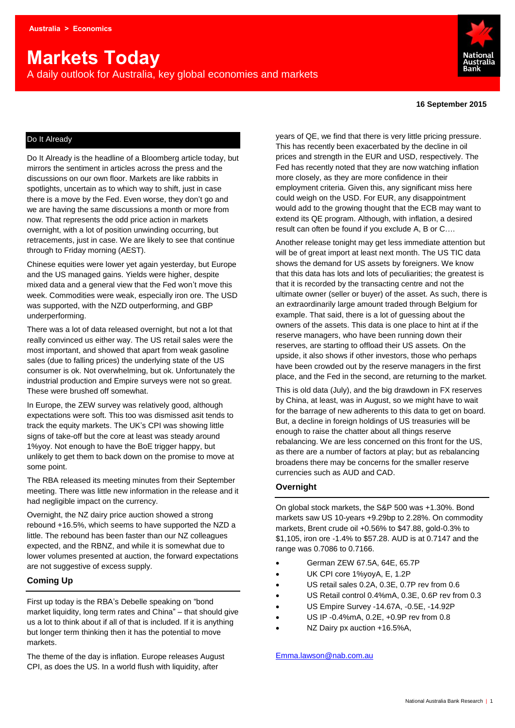# **Markets Today**

A daily outlook for Australia, key global economies and markets



#### **16 September 2015**

## Do It Already

Do It Already is the headline of a Bloomberg article today, but mirrors the sentiment in articles across the press and the discussions on our own floor. Markets are like rabbits in spotlights, uncertain as to which way to shift, just in case there is a move by the Fed. Even worse, they don't go and we are having the same discussions a month or more from now. That represents the odd price action in markets overnight, with a lot of position unwinding occurring, but retracements, just in case. We are likely to see that continue through to Friday morning (AEST).

Chinese equities were lower yet again yesterday, but Europe and the US managed gains. Yields were higher, despite mixed data and a general view that the Fed won't move this week. Commodities were weak, especially iron ore. The USD was supported, with the NZD outperforming, and GBP underperforming.

There was a lot of data released overnight, but not a lot that really convinced us either way. The US retail sales were the most important, and showed that apart from weak gasoline sales (due to falling prices) the underlying state of the US consumer is ok. Not overwhelming, but ok. Unfortunately the industrial production and Empire surveys were not so great. These were brushed off somewhat.

In Europe, the ZEW survey was relatively good, although expectations were soft. This too was dismissed asit tends to track the equity markets. The UK's CPI was showing little signs of take-off but the core at least was steady around 1%yoy. Not enough to have the BoE trigger happy, but unlikely to get them to back down on the promise to move at some point.

The RBA released its meeting minutes from their September meeting. There was little new information in the release and it had negligible impact on the currency.

Overnight, the NZ dairy price auction showed a strong rebound +16.5%, which seems to have supported the NZD a little. The rebound has been faster than our NZ colleagues expected, and the RBNZ, and while it is somewhat due to lower volumes presented at auction, the forward expectations are not suggestive of excess supply.

## **Coming Up**

First up today is the RBA's Debelle speaking on "bond market liquidity, long term rates and China" – that should give us a lot to think about if all of that is included. If it is anything but longer term thinking then it has the potential to move markets.

The theme of the day is inflation. Europe releases August CPI, as does the US. In a world flush with liquidity, after

years of QE, we find that there is very little pricing pressure. This has recently been exacerbated by the decline in oil prices and strength in the EUR and USD, respectively. The Fed has recently noted that they are now watching inflation more closely, as they are more confidence in their employment criteria. Given this, any significant miss here could weigh on the USD. For EUR, any disappointment would add to the growing thought that the ECB may want to extend its QE program. Although, with inflation, a desired result can often be found if you exclude A, B or C….

Another release tonight may get less immediate attention but will be of great import at least next month. The US TIC data shows the demand for US assets by foreigners. We know that this data has lots and lots of peculiarities; the greatest is that it is recorded by the transacting centre and not the ultimate owner (seller or buyer) of the asset. As such, there is an extraordinarily large amount traded through Belgium for example. That said, there is a lot of guessing about the owners of the assets. This data is one place to hint at if the reserve managers, who have been running down their reserves, are starting to offload their US assets. On the upside, it also shows if other investors, those who perhaps have been crowded out by the reserve managers in the first place, and the Fed in the second, are returning to the market.

This is old data (July), and the big drawdown in FX reserves by China, at least, was in August, so we might have to wait for the barrage of new adherents to this data to get on board. But, a decline in foreign holdings of US treasuries will be enough to raise the chatter about all things reserve rebalancing. We are less concerned on this front for the US, as there are a number of factors at play; but as rebalancing broadens there may be concerns for the smaller reserve currencies such as AUD and CAD.

#### **Overnight**

On global stock markets, the S&P 500 was +1.30%. Bond markets saw US 10-years +9.29bp to 2.28%. On commodity markets, Brent crude oil +0.56% to \$47.88, gold-0.3% to \$1,105, iron ore -1.4% to \$57.28. AUD is at 0.7147 and the range was 0.7086 to 0.7166.

- German ZEW 67.5A, 64E, 65.7P
- UK CPI core 1%yoyA, E, 1.2P
- US retail sales 0.2A, 0.3E, 0.7P rev from 0.6
- US Retail control 0.4%mA, 0.3E, 0.6P rev from 0.3
- US Empire Survey -14.67A, -0.5E, -14.92P
- US IP -0.4%mA, 0.2E, +0.9P rev from 0.8
- NZ Dairy px auction +16.5%A,

[Emma.lawson@nab.com.au](mailto:Emma.lawson@nab.com.au)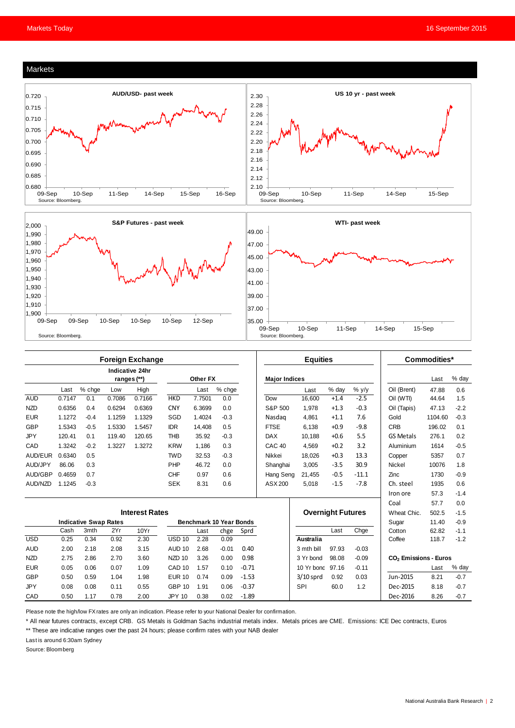#### Markets





|            | <b>Foreign Exchange</b>        |                              |        |        |                                |        |          | <b>Equities</b> |                      |                          |        | Commodities* |                  |                                   |        |
|------------|--------------------------------|------------------------------|--------|--------|--------------------------------|--------|----------|-----------------|----------------------|--------------------------|--------|--------------|------------------|-----------------------------------|--------|
|            | Indicative 24hr<br>ranges (**) |                              |        |        | Other FX                       |        |          |                 | <b>Major Indices</b> |                          |        |              |                  | Last                              | % day  |
|            | Last                           | % chge                       | Low    | High   |                                | Last   | $%$ chge |                 |                      | Last                     | % day  | $%$ y/y      | Oil (Brent)      | 47.88                             | 0.6    |
| <b>AUD</b> | 0.7147                         | 0.1                          | 0.7086 | 0.7166 | <b>HKD</b>                     | 7.7501 | 0.0      |                 | Dow                  | 16.600                   | $+1.4$ | $-2.5$       | Oil (WTI)        | 44.64                             | 1.5    |
| <b>NZD</b> | 0.6356                         | 0.4                          | 0.6294 | 0.6369 | <b>CNY</b>                     | 6.3699 | 0.0      |                 | S&P 500              | 1.978                    | $+1.3$ | $-0.3$       | Oil (Tapis)      | 47.13                             | $-2.2$ |
| <b>EUR</b> | 1.1272                         | $-0.4$                       | 1.1259 | 1.1329 | SGD                            | 1.4024 | $-0.3$   |                 | Nasdag               | 4,861                    | $+1.1$ | 7.6          | Gold             | 1104.60                           | $-0.3$ |
| <b>GBP</b> | 1.5343                         | $-0.5$                       | 1.5330 | 1.5457 | <b>IDR</b>                     | 14.408 | 0.5      |                 | <b>FTSE</b>          | 6.138                    | $+0.9$ | $-9.8$       | <b>CRB</b>       | 196.02                            | 0.1    |
| <b>JPY</b> | 120.41                         | 0.1                          | 119.40 | 120.65 | <b>THB</b>                     | 35.92  | $-0.3$   |                 | <b>DAX</b>           | 10.188                   | $+0.6$ | 5.5          | <b>GS Metals</b> | 276.1                             | 0.2    |
| CAD        | 1.3242                         | $-0.2$                       | 1.3227 | 1.3272 | <b>KRW</b>                     | 1.186  | 0.3      |                 | CAC <sub>40</sub>    | 4.569                    | $+0.2$ | 3.2          | Aluminium        | 1614                              | $-0.5$ |
| AUD/EUR    | 0.6340                         | 0.5                          |        |        | <b>TWD</b>                     | 32.53  | $-0.3$   |                 | Nikkei               | 18.026                   | $+0.3$ | 13.3         | Copper           | 5357                              | 0.7    |
| AUD/JPY    | 86.06                          | 0.3                          |        |        | PHP                            | 46.72  | 0.0      |                 | Shanghai             | 3.005                    | $-3.5$ | 30.9         | Nickel           | 10076                             | 1.8    |
| AUD/GBP    | 0.4659                         | 0.7                          |        |        | <b>CHF</b>                     | 0.97   | 0.6      |                 | Hang Seng            | 21,455                   | $-0.5$ | $-11.1$      | Zinc             | 1730                              | $-0.9$ |
| AUD/NZD    | 1.1245                         | $-0.3$                       |        |        | <b>SEK</b>                     | 8.31   | 0.6      |                 | ASX 200              | 5,018                    | $-1.5$ | $-7.8$       | Ch. steel        | 1935                              | 0.6    |
|            |                                |                              |        |        |                                |        |          |                 |                      |                          |        |              | Iron ore         | 57.3                              | $-1.4$ |
|            |                                |                              |        |        |                                |        |          |                 |                      |                          |        |              | Coal             | 57.7                              | 0.0    |
|            | <b>Interest Rates</b>          |                              |        |        |                                |        |          |                 |                      | <b>Overnight Futures</b> |        |              | Wheat Chic.      | 502.5                             | $-1.5$ |
|            |                                | <b>Indicative Swap Rates</b> |        |        | <b>Benchmark 10 Year Bonds</b> |        |          |                 |                      |                          |        | Sugar        | 11.40            | $-0.9$                            |        |
|            | Cash                           | 3mth                         | 2Yr    | 10Yr   |                                | Last   | chge     | Sprd            |                      |                          | Last   | Chge         | Cotton           | 62.82                             | $-1.1$ |
| <b>USD</b> | 0.25                           | 0.34                         | 0.92   | 2.30   | $USD$ 10                       | 2.28   | 0.09     |                 |                      | <b>Australia</b>         |        |              | Coffee           | 118.7                             | $-1.2$ |
| <b>AUD</b> | 2.00                           | 2.18                         | 2.08   | 3.15   | <b>AUD 10</b>                  | 2.68   | $-0.01$  | 0.40            |                      | 3 mth bill               | 97.93  | $-0.03$      |                  |                                   |        |
| <b>NZD</b> | 2.75                           | 2.86                         | 2.70   | 3.60   | NZD <sub>10</sub>              | 3.26   | 0.00     | 0.98            |                      | 98.08<br>3 Yr bond       |        | $-0.09$      |                  | CO <sub>2</sub> Emissions - Euros |        |
| <b>EUR</b> | 0.05                           | 0.06                         | 0.07   | 1.09   | CAD <sub>10</sub>              | 1.57   | 0.10     | $-0.71$         |                      | 10 Yr bond               | 97.16  | $-0.11$      |                  | Last                              | % day  |
| <b>GBP</b> | 0.50                           | 0.59                         | 1.04   | 1.98   | <b>EUR 10</b>                  | 0.74   | 0.09     | $-1.53$         |                      | $3/10$ sprd              | 0.92   | 0.03         | Jun-2015         | 8.21                              | $-0.7$ |
| <b>JPY</b> | 0.08                           | 0.08                         | 0.11   | 0.55   | <b>GBP 10</b>                  | 1.91   | 0.06     | $-0.37$         |                      | SPI                      | 60.0   | 1.2          | Dec-2015         | 8.18                              | $-0.7$ |
| CAD        | 0.50                           | 1.17                         | 0.78   | 2.00   | <b>JPY 10</b>                  | 0.38   | 0.02     | $-1.89$         |                      |                          |        |              | Dec-2016         | 8.26                              | $-0.7$ |

Please note the high/low FX rates are only an indication. Please refer to your National Dealer for confirmation.

\* All near futures contracts, except CRB. GS Metals is Goldman Sachs industrial metals index. Metals prices are CME. Emissions: ICE Dec contracts, Euros

\*\* These are indicative ranges over the past 24 hours; please confirm rates with your NAB dealer

Last is around 6:30am Sydney

Source: Bloomberg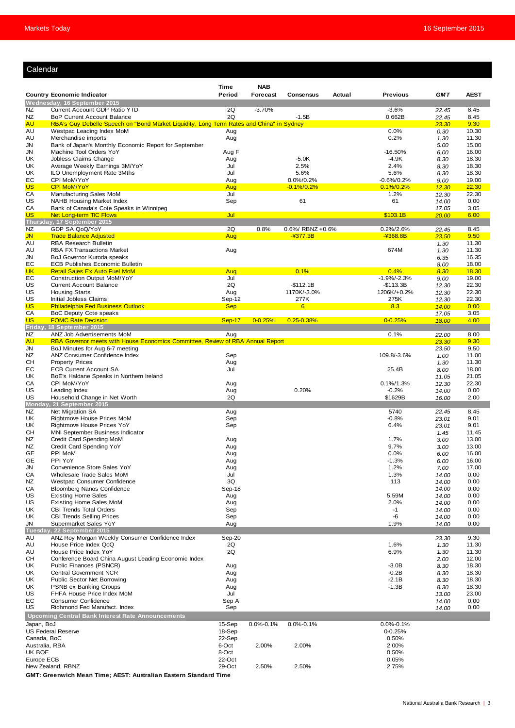## Calendar

|                                                   |                                                                                                                   | Time             | <b>NAB</b>      |                           |        |                          |                |                |
|---------------------------------------------------|-------------------------------------------------------------------------------------------------------------------|------------------|-----------------|---------------------------|--------|--------------------------|----------------|----------------|
|                                                   | <b>Country Economic Indicator</b>                                                                                 | Period           | <b>Forecast</b> | <b>Consensus</b>          | Actual | <b>Previous</b>          | <b>GMT</b>     | <b>AEST</b>    |
|                                                   | Wednesday, 16 September 2015                                                                                      |                  |                 |                           |        |                          |                |                |
| NZ<br>NZ                                          | Current Account GDP Ratio YTD<br><b>BoP Current Account Balance</b>                                               | 2Q<br>2Q         | $-3.70%$        | $-1.5B$                   |        | $-3.6%$<br>0.662B        | 22.45<br>22.45 | 8.45<br>8.45   |
| AU                                                | RBA's Guy Debelle Speech on "Bond Market Liquidity, Long Term Rates and China" in Sydney                          |                  |                 |                           |        |                          | 23.30          | 9.30           |
| AU<br>AU                                          | Westpac Leading Index MoM<br>Merchandise imports                                                                  | Aug              |                 |                           |        | 0.0%<br>0.2%             | 0.30           | 10.30<br>11.30 |
| JN                                                | Bank of Japan's Monthly Economic Report for September                                                             | Aug              |                 |                           |        |                          | 1.30<br>5.00   | 15.00          |
| JN                                                | Machine Tool Orders YoY                                                                                           | Aug F            |                 |                           |        | $-16.50%$                | 6.00           | 16.00          |
| UK                                                | Jobless Claims Change                                                                                             | Aug              |                 | $-5.0K$                   |        | $-4.9K$                  | 8.30           | 18.30          |
| UK<br>UK                                          | Average Weekly Earnings 3M/YoY<br>ILO Unemployment Rate 3Mths                                                     | Jul<br>Jul       |                 | 2.5%<br>5.6%              |        | 2.4%<br>5.6%             | 8.30<br>8.30   | 18.30<br>18.30 |
| EС                                                | CPI MoM/YoY                                                                                                       | Aug              |                 | 0.0%/0.2%                 |        | $-0.6\%/0.2\%$           | 9.00           | 19.00          |
| US                                                | <b>CPI MoM/YoY</b>                                                                                                | Aug              |                 | $-0.1\%/0.2\%$            |        | $0.1\%/0.2\%$            | 12.30          | 22.30          |
| СA<br>US                                          | Manufacturing Sales MoM<br>NAHB Housing Market Index                                                              | Jul<br>Sep       |                 | 61                        |        | 1.2%<br>61               | 12.30<br>14.00 | 22.30<br>0.00  |
| СA                                                | Bank of Canada's Cote Speaks in Winnipeg                                                                          |                  |                 |                           |        |                          | 17.05          | 3.05           |
| US                                                | Net Long-term TIC Flows                                                                                           | Jul              |                 |                           |        | \$103.1B                 | 20.00          | 6.00           |
| NZ                                                | Thursday, 17 September 2015<br>GDP SA QoQ/YoY                                                                     | 2Q               | 0.8%            | 0.6%/ RBNZ +0.6%          |        | 0.2%/2.6%                |                | 8.45           |
| JN.                                               | <b>Trade Balance Adjusted</b>                                                                                     | Aug              |                 | $-4377.3B$                |        | $-4368.8B$               | 22.45<br>23.50 | 9.50           |
| AU                                                | <b>RBA Research Bulletin</b>                                                                                      |                  |                 |                           |        |                          | 1.30           | 11.30          |
| AU                                                | <b>RBA FX Transactions Market</b>                                                                                 | Aug              |                 |                           |        | 674M                     | 1.30           | 11.30          |
| JN<br>EС                                          | BoJ Governor Kuroda speaks<br><b>ECB Publishes Economic Bulletin</b>                                              |                  |                 |                           |        |                          | 6.35<br>8.00   | 16.35<br>18.00 |
| <b>UK</b>                                         | <b>Retail Sales Ex Auto Fuel MoM</b>                                                                              | Aug              |                 | 0.1%                      |        | 0.4%                     | 8.30           | 18.30          |
| EС                                                | <b>Construction Output MoM/YoY</b>                                                                                | Jul              |                 |                           |        | $-1.9%/-2.3%$            | 9.00           | 19.00          |
| US<br>US                                          | <b>Current Account Balance</b><br><b>Housing Starts</b>                                                           | 2Q<br>Aug        |                 | $-$112.1B$<br>1170K/-3.0% |        | -\$113.3B<br>1206K/+0.2% | 12.30<br>12.30 | 22.30<br>22.30 |
| US                                                | Initial Jobless Claims                                                                                            | Sep-12           |                 | 277K                      |        | 275K                     | 12.30          | 22.30          |
| US                                                | <b>Philadelphia Fed Business Outlook</b>                                                                          | <b>Sep</b>       |                 | 6                         |        | 8.3                      | 14.00          | 0.00           |
| СA<br>US                                          | BoC Deputy Cote speaks<br><b>FOMC Rate Decision</b>                                                               |                  | $0 - 0.25%$     | $0.25 - 0.38%$            |        | $0 - 0.25%$              | 17.05          | 3.05<br>4.00   |
| Friday,                                           | 18 September 2015                                                                                                 | <b>Sep-17</b>    |                 |                           |        |                          | 18.00          |                |
| NZ                                                | ANZ Job Advertisements MoM                                                                                        | Aug              |                 |                           |        | 0.1%                     | 22.00          | 8.00           |
| AU<br>JN                                          | RBA Governor meets with House Economics Committee, Review of RBA Annual Report<br>BoJ Minutes for Aug 6-7 meeting |                  |                 |                           |        |                          | 23.30<br>23.50 | 9.30<br>9.50   |
| NZ                                                | ANZ Consumer Confidence Index                                                                                     | Sep              |                 |                           |        | 109.8/-3.6%              | 1.00           | 11.00          |
| CН                                                | <b>Property Prices</b>                                                                                            | Aug              |                 |                           |        |                          | 1.30           | 11.30          |
| EС                                                | <b>ECB Current Account SA</b>                                                                                     | Jul              |                 |                           |        | 25.4B                    | 8.00           | 18.00          |
| UK<br>CА                                          | BoE's Haldane Speaks in Northern Ireland<br>CPI MoM/YoY                                                           | Aug              |                 |                           |        | $0.1\%/1.3\%$            | 11.05<br>12.30 | 21.05<br>22.30 |
| US                                                | Leading Index                                                                                                     | Aug              |                 | 0.20%                     |        | $-0.2%$                  | 14.00          | 0.00           |
| US                                                | Household Change in Net Worth                                                                                     | 2Q               |                 |                           |        | \$1629B                  | 16.00          | 2.00           |
| <b>NZ</b>                                         | Monday, 21 September 2015<br>Net Migration SA                                                                     | Aug              |                 |                           |        | 5740                     | 22.45          | 8.45           |
| UK                                                | Rightmove House Prices MoM                                                                                        | Sep              |                 |                           |        | $-0.8%$                  | 23.01          | 9.01           |
| UK                                                | Rightmove House Prices YoY                                                                                        | Sep              |                 |                           |        | 6.4%                     | 23.01          | 9.01           |
| CН<br>ΝZ                                          | MNI September Business Indicator<br>Credit Card Spending MoM                                                      | Aug              |                 |                           |        | 1.7%                     | 1.45<br>3.00   | 11.45<br>13.00 |
| ΝZ                                                | Credit Card Spending YoY                                                                                          | Aug              |                 |                           |        | 9.7%                     | 3.00           | 13.00          |
| GЕ                                                | PPI MoM                                                                                                           | Aug              |                 |                           |        | 0.0%                     | 6.00           | 16.00          |
| GЕ<br>JN                                          | PPI YoY<br>Convenience Store Sales YoY                                                                            | Aug<br>Aug       |                 |                           |        | $-1.3%$<br>1.2%          | 6.00<br>7.00   | 16.00<br>17.00 |
| CA                                                | Wholesale Trade Sales MoM                                                                                         | Jul              |                 |                           |        | 1.3%                     | 14.00          | 0.00           |
| ΝZ                                                | Westpac Consumer Confidence                                                                                       | 3Q               |                 |                           |        | 113                      | 14.00          | 0.00           |
| СA<br>US                                          | <b>Bloomberg Nanos Confidence</b><br><b>Existing Home Sales</b>                                                   | Sep-18<br>Aug    |                 |                           |        | 5.59M                    | 14.00<br>14.00 | 0.00<br>0.00   |
| US                                                | <b>Existing Home Sales MoM</b>                                                                                    | Aug              |                 |                           |        | 2.0%                     | 14.00          | 0.00           |
| UK                                                | <b>CBI Trends Total Orders</b>                                                                                    | Sep              |                 |                           |        | $-1$                     | 14.00          | 0.00           |
| UK                                                | <b>CBI Trends Selling Prices</b><br>Supermarket Sales YoY                                                         | Sep              |                 |                           |        | -6                       | 14.00          | 0.00           |
| JN                                                | Tuesday, 22 September 2015                                                                                        | Aug              |                 |                           |        | 1.9%                     | 14.00          | 0.00           |
| AU                                                | ANZ Roy Morgan Weekly Consumer Confidence Index                                                                   | Sep-20           |                 |                           |        |                          | 23.30          | 9.30           |
| AU                                                | House Price Index QoQ<br>House Price Index YoY                                                                    | 2Q               |                 |                           |        | 1.6%                     | 1.30           | 11.30          |
| AU<br>CН                                          | Conference Board China August Leading Economic Index                                                              | 2Q               |                 |                           |        | 6.9%                     | 1.30<br>2.00   | 11.30<br>12.00 |
| UK                                                | Public Finances (PSNCR)                                                                                           | Aug              |                 |                           |        | $-3.0B$                  | 8.30           | 18.30          |
| UK                                                | <b>Central Government NCR</b>                                                                                     | Aug              |                 |                           |        | $-0.2B$                  | 8.30           | 18.30          |
| UK<br>UK                                          | <b>Public Sector Net Borrowing</b><br><b>PSNB ex Banking Groups</b>                                               | Aug<br>Aug       |                 |                           |        | $-2.1B$<br>$-1.3B$       | 8.30<br>8.30   | 18.30<br>18.30 |
| US                                                | FHFA House Price Index MoM                                                                                        | Jul              |                 |                           |        |                          | 13.00          | 23.00          |
| EС                                                | <b>Consumer Confidence</b>                                                                                        | Sep A            |                 |                           |        |                          | 14.00          | 0.00           |
| US                                                | Richmond Fed Manufact. Index                                                                                      | Sep              |                 |                           |        |                          | 14.00          | 0.00           |
| Upcoming Central Bank Interest Rate Announcements |                                                                                                                   |                  |                 | $0.0\% - 0.1\%$           |        | $0.0\% - 0.1\%$          |                |                |
| Japan, BoJ<br><b>US Federal Reserve</b>           |                                                                                                                   | 15-Sep<br>18-Sep | $0.0\% - 0.1\%$ |                           |        | 0-0.25%                  |                |                |
| Canada, BoC                                       |                                                                                                                   | 22-Sep           |                 |                           |        | 0.50%                    |                |                |
| Australia, RBA                                    |                                                                                                                   | 6-Oct            | 2.00%           | 2.00%                     |        | 2.00%                    |                |                |
| UK BOE<br>Europe ECB                              |                                                                                                                   | 8-Oct<br>22-Oct  |                 |                           |        | 0.50%<br>0.05%           |                |                |
| New Zealand, RBNZ                                 |                                                                                                                   | 29-Oct           | 2.50%           | 2.50%                     |        | 2.75%                    |                |                |
|                                                   | GMT: Greenwich Mean Time; AEST: Australian Eastern Standard Time                                                  |                  |                 |                           |        |                          |                |                |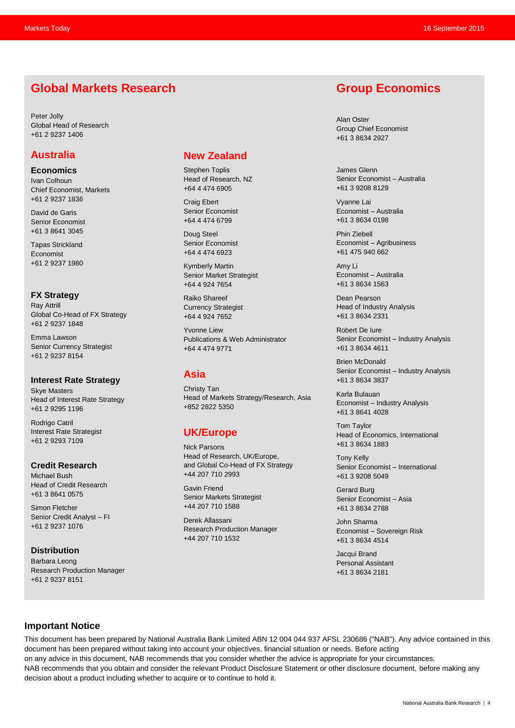# **Global Markets Research**

Peter Jolly Global Head of Research +61 2 9237 1406

# **Australia**

**Economics**

Ivan Colhoun Chief Economist, Markets +61 2 9237 1836

David de Garis Senior Economist +61 3 8641 3045

Tapas Strickland Economist +61 2 9237 1980

#### **FX Strategy**

Ray Attrill Global Co-Head of FX Strategy +61 2 9237 1848

Emma Lawson Senior Currency Strategist +61 2 9237 8154

#### **Interest Rate Strategy**

Skye Masters Head of Interest Rate Strategy +61 2 9295 1196

Rodrigo Catril Interest Rate Strategist +61 2 9293 7109

#### **Credit Research**

Michael Bush Head of Credit Research +61 3 8641 0575

Simon Fletcher Senior Credit Analyst – FI +61 2 9237 1076

**Distribution** Barbara Leong Research Production Manager +61 2 9237 8151

# **New Zealand**

Stephen Toplis Head of Research, NZ +64 4 474 6905

Craig Ebert Senior Economist +64 4 474 6799

Doug Steel Senior Economist +64 4 474 6923

Kymberly Martin Senior Market Strategist +64 4 924 7654

Raiko Shareef Currency Strategist +64 4 924 7652

Yvonne Liew Publications & Web Administrator +64 4 474 9771

# **Asia**

Christy Tan Head of Markets Strategy/Research, Asia +852 2822 5350

# **UK/Europe**

Nick Parsons Head of Research, UK/Europe, and Global Co-Head of FX Strategy +44 207 710 2993

Gavin Friend Senior Markets Strategist +44 207 710 1588

Derek Allassani Research Production Manager +44 207 710 1532

# **Group Economics**

Alan Oster Group Chief Economist +61 3 8634 2927

James Glenn Senior Economist – Australia +61 3 9208 8129

Vyanne Lai Economist – Australia +61 3 8634 0198

Phin Ziebell Economist – Agribusiness +61 475 940 662

Amy Li Economist – Australia +61 3 8634 1563

Dean Pearson Head of Industry Analysis +61 3 8634 2331

Robert De Iure Senior Economist – Industry Analysis +61 3 8634 4611

Brien McDonald Senior Economist – Industry Analysis +61 3 8634 3837

Karla Bulauan Economist – Industry Analysis +61 3 8641 4028

Tom Taylor Head of Economics, International +61 3 8634 1883

Tony Kelly Senior Economist – International +61 3 9208 5049

Gerard Burg Senior Economist – Asia +61 3 8634 2788

John Sharma Economist – Sovereign Risk +61 3 8634 4514

Jacqui Brand Personal Assistant +61 3 8634 2181

#### **Important Notice**

This document has been prepared by National Australia Bank Limited ABN 12 004 044 937 AFSL 230686 ("NAB"). Any advice contained in this document has been prepared without taking into account your objectives, financial situation or needs. Before acting on any advice in this document, NAB recommends that you consider whether the advice is appropriate for your circumstances. NAB recommends that you obtain and consider the relevant Product Disclosure Statement or other disclosure document, before making any decision about a product including whether to acquire or to continue to hold it.